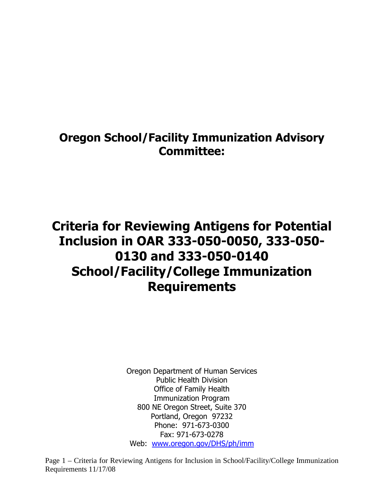## Oregon School/Facility Immunization Advisory Committee:

# Criteria for Reviewing Antigens for Potential Inclusion in OAR 333-050-0050, 333-050- 0130 and 333-050-0140 School/Facility/College Immunization **Requirements**

Oregon Department of Human Services Public Health Division Office of Family Health Immunization Program 800 NE Oregon Street, Suite 370 Portland, Oregon 97232 Phone: 971-673-0300 Fax: 971-673-0278 Web: www.oregon.gov/DHS/ph/imm

Page 1 – Criteria for Reviewing Antigens for Inclusion in School/Facility/College Immunization Requirements 11/17/08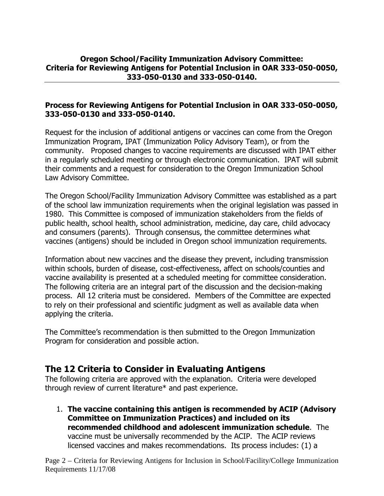#### Oregon School/Facility Immunization Advisory Committee: Criteria for Reviewing Antigens for Potential Inclusion in OAR 333-050-0050, 333-050-0130 and 333-050-0140.

#### Process for Reviewing Antigens for Potential Inclusion in OAR 333-050-0050, 333-050-0130 and 333-050-0140.

Request for the inclusion of additional antigens or vaccines can come from the Oregon Immunization Program, IPAT (Immunization Policy Advisory Team), or from the community. Proposed changes to vaccine requirements are discussed with IPAT either in a regularly scheduled meeting or through electronic communication. IPAT will submit their comments and a request for consideration to the Oregon Immunization School Law Advisory Committee.

The Oregon School/Facility Immunization Advisory Committee was established as a part of the school law immunization requirements when the original legislation was passed in 1980. This Committee is composed of immunization stakeholders from the fields of public health, school health, school administration, medicine, day care, child advocacy and consumers (parents). Through consensus, the committee determines what vaccines (antigens) should be included in Oregon school immunization requirements.

Information about new vaccines and the disease they prevent, including transmission within schools, burden of disease, cost-effectiveness, affect on schools/counties and vaccine availability is presented at a scheduled meeting for committee consideration. The following criteria are an integral part of the discussion and the decision-making process. All 12 criteria must be considered. Members of the Committee are expected to rely on their professional and scientific judgment as well as available data when applying the criteria.

The Committee's recommendation is then submitted to the Oregon Immunization Program for consideration and possible action.

### The 12 Criteria to Consider in Evaluating Antigens

The following criteria are approved with the explanation. Criteria were developed through review of current literature\* and past experience.

1. The vaccine containing this antigen is recommended by ACIP (Advisory Committee on Immunization Practices) and included on its recommended childhood and adolescent immunization schedule. The vaccine must be universally recommended by the ACIP. The ACIP reviews licensed vaccines and makes recommendations. Its process includes: (1) a

Page 2 – Criteria for Reviewing Antigens for Inclusion in School/Facility/College Immunization Requirements 11/17/08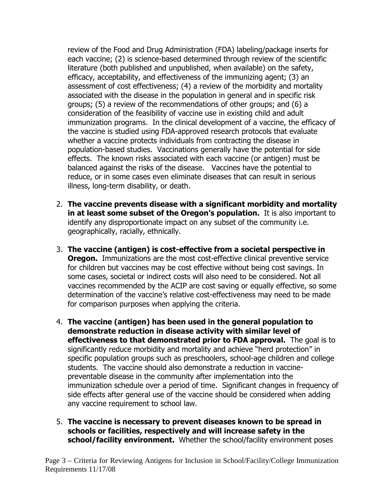review of the Food and Drug Administration (FDA) labeling/package inserts for each vaccine; (2) is science-based determined through review of the scientific literature (both published and unpublished, when available) on the safety, efficacy, acceptability, and effectiveness of the immunizing agent; (3) an assessment of cost effectiveness; (4) a review of the morbidity and mortality associated with the disease in the population in general and in specific risk groups; (5) a review of the recommendations of other groups; and (6) a consideration of the feasibility of vaccine use in existing child and adult immunization programs. In the clinical development of a vaccine, the efficacy of the vaccine is studied using FDA-approved research protocols that evaluate whether a vaccine protects individuals from contracting the disease in population-based studies. Vaccinations generally have the potential for side effects. The known risks associated with each vaccine (or antigen) must be balanced against the risks of the disease. Vaccines have the potential to reduce, or in some cases even eliminate diseases that can result in serious illness, long-term disability, or death.

- 2. The vaccine prevents disease with a significant morbidity and mortality in at least some subset of the Oregon's population. It is also important to identify any disproportionate impact on any subset of the community i.e. geographically, racially, ethnically.
- 3. The vaccine (antigen) is cost-effective from a societal perspective in **Oregon.** Immunizations are the most cost-effective clinical preventive service for children but vaccines may be cost effective without being cost savings. In some cases, societal or indirect costs will also need to be considered. Not all vaccines recommended by the ACIP are cost saving or equally effective, so some determination of the vaccine's relative cost-effectiveness may need to be made for comparison purposes when applying the criteria.
- 4. The vaccine (antigen) has been used in the general population to demonstrate reduction in disease activity with similar level of effectiveness to that demonstrated prior to FDA approval. The goal is to significantly reduce morbidity and mortality and achieve "herd protection" in specific population groups such as preschoolers, school-age children and college students. The vaccine should also demonstrate a reduction in vaccinepreventable disease in the community after implementation into the immunization schedule over a period of time. Significant changes in frequency of side effects after general use of the vaccine should be considered when adding any vaccine requirement to school law.
- 5. The vaccine is necessary to prevent diseases known to be spread in schools or facilities, respectively and will increase safety in the school/facility environment. Whether the school/facility environment poses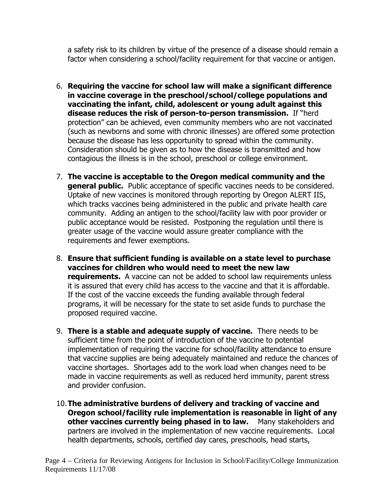a safety risk to its children by virtue of the presence of a disease should remain a factor when considering a school/facility requirement for that vaccine or antigen.

- 6. Requiring the vaccine for school law will make a significant difference in vaccine coverage in the preschool/school/college populations and vaccinating the infant, child, adolescent or young adult against this disease reduces the risk of person-to-person transmission. If "herd protection" can be achieved, even community members who are not vaccinated (such as newborns and some with chronic illnesses) are offered some protection because the disease has less opportunity to spread within the community. Consideration should be given as to how the disease is transmitted and how contagious the illness is in the school, preschool or college environment.
- 7. The vaccine is acceptable to the Oregon medical community and the **general public.** Public acceptance of specific vaccines needs to be considered. Uptake of new vaccines is monitored through reporting by Oregon ALERT IIS, which tracks vaccines being administered in the public and private health care community. Adding an antigen to the school/facility law with poor provider or public acceptance would be resisted. Postponing the regulation until there is greater usage of the vaccine would assure greater compliance with the requirements and fewer exemptions.
- 8. Ensure that sufficient funding is available on a state level to purchase vaccines for children who would need to meet the new law **requirements.** A vaccine can not be added to school law requirements unless it is assured that every child has access to the vaccine and that it is affordable. If the cost of the vaccine exceeds the funding available through federal programs, it will be necessary for the state to set aside funds to purchase the proposed required vaccine.
- 9. There is a stable and adequate supply of vaccine. There needs to be sufficient time from the point of introduction of the vaccine to potential implementation of requiring the vaccine for school/facility attendance to ensure that vaccine supplies are being adequately maintained and reduce the chances of vaccine shortages. Shortages add to the work load when changes need to be made in vaccine requirements as well as reduced herd immunity, parent stress and provider confusion.
- 10. The administrative burdens of delivery and tracking of vaccine and Oregon school/facility rule implementation is reasonable in light of any other vaccines currently being phased in to law. Many stakeholders and partners are involved in the implementation of new vaccine requirements. Local health departments, schools, certified day cares, preschools, head starts,